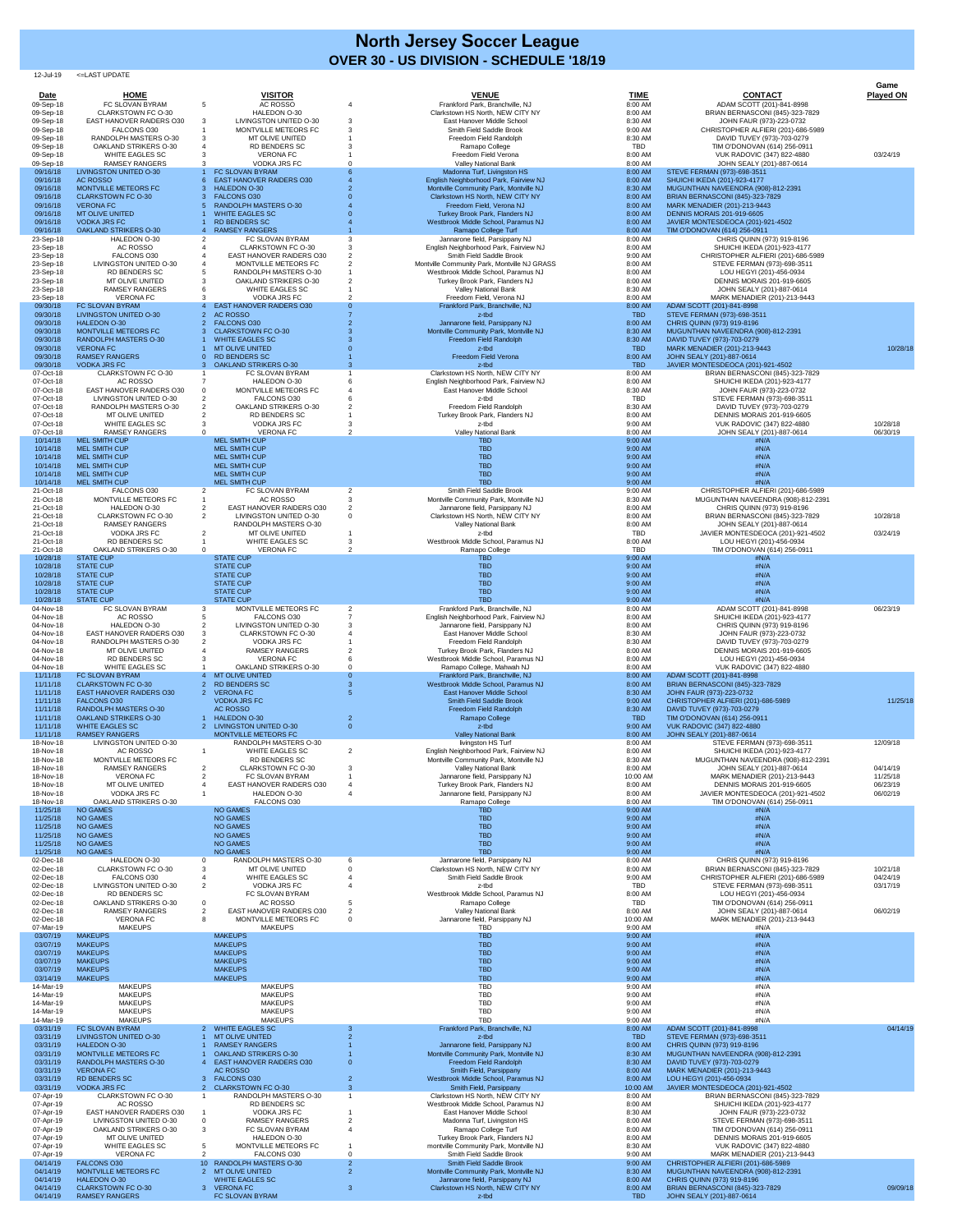12-Jul-19 <=LAST UPDATE

| Date                   | <b>HOME</b>                                                      | <b>VISITOR</b>                                                   |   | <b>VENUE</b>                                                                     | <b>TIME</b>           | <b>CONTACT</b>                                                         | Game<br><b>Played ON</b> |
|------------------------|------------------------------------------------------------------|------------------------------------------------------------------|---|----------------------------------------------------------------------------------|-----------------------|------------------------------------------------------------------------|--------------------------|
| 09-Sep-18              | FC SLOVAN BYRAM                                                  | <b>AC ROSSO</b><br>-5                                            |   | Frankford Park, Branchville, NJ                                                  | 8:00 AM               | ADAM SCOTT (201)-841-8998                                              |                          |
| 09-Sep-18<br>09-Sep-18 | <b>CLARKSTOWN FC O-30</b><br><b>EAST HANOVER RAIDERS O30</b>     | HALEDON O-30<br>LIVINGSTON UNITED O-30<br>3                      |   | Clarkstown HS North, NEW CITY NY<br>East Hanover Middle School                   | 8:00 AM<br>8:30 AM    | BRIAN BERNASCONI (845)-323-7829<br>JOHN FAUR (973)-223-0732            |                          |
| 09-Sep-18<br>09-Sep-18 | FALCONS O30<br>RANDOLPH MASTERS O-30                             | MONTVILLE METEORS FC<br>MT OLIVE UNITED<br>-3                    |   | Smith Field Saddle Brook<br>Freedom Field Randolph                               | 9:00 AM<br>8:30 AM    | CHRISTOPHER ALFIERI (201)-686-5989<br>DAVID TUVEY (973)-703-0279       |                          |
| 09-Sep-18<br>09-Sep-18 | <b>OAKLAND STRIKERS O-30</b><br><b>WHITE EAGLES SC</b>           | <b>RD BENDERS SC</b><br><b>VERONA FC</b>                         |   | Ramapo College<br>Freedom Field Verona                                           | <b>TBD</b><br>8:00 AM | TIM O'DONOVAN (614) 256-0911<br>VUK RADOVIC (347) 822-4880             | 03/24/19                 |
| 09-Sep-18<br>09/16/18  | <b>RAMSEY RANGERS</b><br><b>LIVINGSTON UNITED O-30</b>           | <b>VODKA JRS FC</b><br>FC SLOVAN BYRAM                           |   | <b>Valley National Bank</b><br>Madonna Turf, Livingston HS                       | 8:00 AM<br>8:00 AM    | JOHN SEALY (201)-887-0614<br>STEVE FERMAN (973)-698-3511               |                          |
| 09/16/18<br>09/16/18   | <b>AC ROSSO</b><br>MONTVILLE METEORS FC                          | <b>EAST HANOVER RAIDERS 030</b><br><b>HALEDON O-30</b>           |   | English Neighborhood Park, Fairview NJ<br>Montville Community Park, Montville NJ | 8:00 AM<br>8:30 AM    | SHUICHI IKEDA (201)-923-4177<br>MUGUNTHAN NAVEENDRA (908)-812-2391     |                          |
| 09/16/18<br>09/16/18   | <b>CLARKSTOWN FC O-30</b><br><b>VERONA FC</b>                    | <b>FALCONS O30</b><br><b>RANDOLPH MASTERS O-30</b>               |   | Clarkstown HS North, NEW CITY NY<br>Freedom Field, Verona NJ                     | 8:00 AM<br>8:00 AM    | <b>BRIAN BERNASCONI (845)-323-7829</b><br>MARK MENADIER (201)-213-9443 |                          |
| 09/16/18<br>09/16/18   | <b>MT OLIVE UNITED</b><br><b>VODKA JRS FC</b>                    | <b>WHITE EAGLES SC</b><br><b>RD BENDERS SC</b>                   |   | Turkey Brook Park, Flanders NJ<br>Westbrook Middle School, Paramus NJ            | 8:00 AM<br>8:00 AM    | <b>DENNIS MORAIS 201-919-6605</b><br>JAVIER MONTESDEOCA (201)-921-4502 |                          |
| 09/16/18<br>23-Sep-18  | <b>OAKLAND STRIKERS O-30</b><br>HALEDON O-30                     | <b>RAMSEY RANGERS</b><br>FC SLOVAN BYRAM                         |   | Ramapo College Turf<br>Jannarone field, Parsippany NJ                            | 8:00 AM<br>8:00 AM    | TIM O'DONOVAN (614) 256-0911<br>CHRIS QUINN (973) 919-8196             |                          |
| 23-Sep-18<br>23-Sep-18 | AC ROSSO<br>FALCONS O30                                          | <b>CLARKSTOWN FC O-30</b><br><b>EAST HANOVER RAIDERS O30</b>     |   | English Neighborhood Park, Fairview NJ<br>Smith Field Saddle Brook               | 8:00 AM<br>9:00 AM    | SHUICHI IKEDA (201)-923-4177<br>CHRISTOPHER ALFIERI (201)-686-5989     |                          |
| 23-Sep-18              | LIVINGSTON UNITED O-30                                           | MONTVILLE METEORS FC                                             |   | Montville Community Park, Montville NJ GRASS                                     | 8:00 AM               | STEVE FERMAN (973)-698-3511                                            |                          |
| 23-Sep-18<br>23-Sep-18 | <b>RD BENDERS SC</b><br>MT OLIVE UNITED                          | -5<br><b>RANDOLPH MASTERS O-30</b><br>3<br>OAKLAND STRIKERS O-30 |   | Westbrook Middle School, Paramus NJ<br>Turkey Brook Park, Flanders NJ            | 8:00 AM<br>8:00 AM    | LOU HEGYI (201)-456-0934<br><b>DENNIS MORAIS 201-919-6605</b>          |                          |
| 23-Sep-18<br>23-Sep-18 | <b>RAMSEY RANGERS</b><br><b>VERONA FC</b>                        | <b>WHITE EAGLES SC</b><br><b>VODKA JRS FC</b>                    |   | <b>Valley National Bank</b><br>Freedom Field, Verona NJ                          | 8:30 AM<br>8:00 AM    | JOHN SEALY (201)-887-0614<br>MARK MENADIER (201)-213-9443              |                          |
| 09/30/18<br>09/30/18   | <b>FC SLOVAN BYRAM</b><br><b>LIVINGSTON UNITED O-30</b>          | <b>EAST HANOVER RAIDERS O30</b><br><b>AC ROSSO</b>               |   | Frankford Park, Branchville, NJ<br>z-tbd                                         | 8:00 AM<br><b>TBD</b> | ADAM SCOTT (201)-841-8998<br>STEVE FERMAN (973)-698-3511               |                          |
| 09/30/18<br>09/30/18   | <b>HALEDON O-30</b><br><b>MONTVILLE METEORS FC</b>               | <b>FALCONS O30</b><br><b>CLARKSTOWN FC O-30</b>                  |   | Jannarone field, Parsippany NJ<br>Montville Community Park, Montville NJ         | 8:00 AM<br>8:30 AM    | CHRIS QUINN (973) 919-8196<br>MUGUNTHAN NAVEENDRA (908)-812-2391       |                          |
| 09/30/18<br>09/30/18   | <b>RANDOLPH MASTERS O-30</b><br><b>VERONA FC</b>                 | <b>WHITE EAGLES SC</b><br><b>MT OLIVE UNITED</b>                 |   | Freedom Field Randolph<br>z-tbd                                                  | 8:30 AM<br><b>TBD</b> | DAVID TUVEY (973)-703-0279<br>MARK MENADIER (201)-213-9443             | 10/28/18                 |
| 09/30/18<br>09/30/18   | <b>RAMSEY RANGERS</b><br><b>VODKA JRS FC</b>                     | <b>RD BENDERS SC</b><br><b>OAKLAND STRIKERS O-30</b>             |   | Freedom Field Verona<br>z-tbd                                                    | 8:00 AM<br><b>TBD</b> | JOHN SEALY (201)-887-0614<br>JAVIER MONTESDEOCA (201)-921-4502         |                          |
| 07-Oct-18<br>07-Oct-18 | <b>CLARKSTOWN FC O-30</b><br>AC ROSSO                            | FC SLOVAN BYRAM<br>HALEDON O-30                                  |   | Clarkstown HS North, NEW CITY NY<br>English Neighborhood Park, Fairview NJ       | 8:00 AM<br>8:00 AM    | BRIAN BERNASCONI (845)-323-7829<br>SHUICHI IKEDA (201)-923-4177        |                          |
| 07-Oct-18<br>07-Oct-18 | <b>EAST HANOVER RAIDERS O30</b><br><b>LIVINGSTON UNITED O-30</b> | MONTVILLE METEORS FC<br>FALCONS O30                              |   | East Hanover Middle School<br>z-tbd                                              | 8:30 AM<br><b>TBD</b> | JOHN FAUR (973)-223-0732<br>STEVE FERMAN (973)-698-3511                |                          |
| 07-Oct-18              | RANDOLPH MASTERS O-30                                            | <b>OAKLAND STRIKERS O-30</b>                                     |   | Freedom Field Randolph                                                           | 8:30 AM               | DAVID TUVEY (973)-703-0279                                             |                          |
| 07-Oct-18<br>07-Oct-18 | MT OLIVE UNITED<br><b>WHITE EAGLES SC</b>                        | <b>RD BENDERS SC</b><br><b>VODKA JRS FC</b>                      |   | Turkey Brook Park, Flanders NJ<br>z-tbd                                          | 8:00 AM<br>9:00 AM    | <b>DENNIS MORAIS 201-919-6605</b><br>VUK RADOVIC (347) 822-4880        | 10/28/18                 |
| 07-Oct-18<br>10/14/18  | <b>RAMSEY RANGERS</b><br><b>MEL SMITH CUP</b>                    | <b>VERONA FC</b><br><b>MEL SMITH CUP</b>                         |   | Valley National Bank<br><b>TBD</b>                                               | 8:00 AM<br>9:00 AM    | JOHN SEALY (201)-887-0614<br>#N/A                                      | 06/30/19                 |
| 10/14/18<br>10/14/18   | <b>MEL SMITH CUP</b><br><b>MEL SMITH CUP</b>                     | <b>MEL SMITH CUP</b><br><b>MEL SMITH CUP</b>                     |   | <b>TBD</b><br><b>TBD</b>                                                         | 9:00 AM<br>9:00 AM    | #N/A<br>#N/A                                                           |                          |
| 10/14/18<br>10/14/18   | <b>MEL SMITH CUP</b><br><b>MEL SMITH CUP</b>                     | <b>MEL SMITH CUP</b><br><b>MEL SMITH CUP</b>                     |   | <b>TBD</b><br><b>TBD</b>                                                         | 9:00 AM<br>9:00 AM    | #N/A<br>#N/A                                                           |                          |
| 10/14/18<br>21-Oct-18  | <b>MEL SMITH CUP</b><br>FALCONS O30                              | <b>MEL SMITH CUP</b><br>FC SLOVAN BYRAM                          |   | <b>TBD</b><br>Smith Field Saddle Brook                                           | 9:00 AM<br>9:00 AM    | #N/A<br>CHRISTOPHER ALFIERI (201)-686-5989                             |                          |
| 21-Oct-18<br>21-Oct-18 | MONTVILLE METEORS FC<br>HALEDON O-30                             | AC ROSSO<br><b>EAST HANOVER RAIDERS O30</b>                      |   | Montville Community Park, Montville NJ<br>Jannarone field, Parsippany NJ         | 8:30 AM<br>8:00 AM    | MUGUNTHAN NAVEENDRA (908)-812-2391<br>CHRIS QUINN (973) 919-8196       |                          |
| 21-Oct-18              | <b>CLARKSTOWN FC O-30</b>                                        | $\overline{2}$<br>LIVINGSTON UNITED O-30                         |   | Clarkstown HS North, NEW CITY NY                                                 | 8:00 AM               | BRIAN BERNASCONI (845)-323-7829                                        | 10/28/18                 |
| 21-Oct-18<br>21-Oct-18 | <b>RAMSEY RANGERS</b><br><b>VODKA JRS FC</b>                     | RANDOLPH MASTERS O-30<br>MT OLIVE UNITED                         |   | <b>Valley National Bank</b><br>z-tbd                                             | 8:00 AM<br><b>TBD</b> | JOHN SEALY (201)-887-0614<br>JAVIER MONTESDEOCA (201)-921-4502         | 03/24/19                 |
| 21-Oct-18<br>21-Oct-18 | <b>RD BENDERS SC</b><br><b>OAKLAND STRIKERS O-30</b>             | WHITE EAGLES SC<br><b>VERONA FC</b><br>-0                        |   | Westbrook Middle School, Paramus NJ<br>Ramapo College                            | 8:00 AM<br><b>TBD</b> | LOU HEGYI (201)-456-0934<br>TIM O'DONOVAN (614) 256-0911               |                          |
| 10/28/18<br>10/28/18   | <b>STATE CUP</b><br><b>STATE CUP</b>                             | <b>STATE CUP</b><br><b>STATE CUP</b>                             |   | <b>TBD</b><br><b>TBD</b>                                                         | 9:00 AM<br>9:00 AM    | #N/A<br>#N/A                                                           |                          |
| 10/28/18<br>10/28/18   | <b>STATE CUP</b><br><b>STATE CUP</b>                             | <b>STATE CUP</b><br><b>STATE CUP</b>                             |   | <b>TBD</b><br><b>TBD</b>                                                         | 9:00 AM<br>9:00 AM    | #N/A<br>#N/A                                                           |                          |
| 10/28/18<br>10/28/18   | <b>STATE CUP</b><br><b>STATE CUP</b>                             | <b>STATE CUP</b><br><b>STATE CUP</b>                             |   | <b>TBD</b><br><b>TBD</b>                                                         | 9:00 AM<br>9:00 AM    | #N/A<br>#N/A                                                           |                          |
| 04-Nov-18<br>04-Nov-18 | FC SLOVAN BYRAM<br>AC ROSSO                                      | MONTVILLE METEORS FC<br>-3<br>FALCONS O30                        |   | Frankford Park, Branchville, NJ<br>English Neighborhood Park, Fairview NJ        | 8:00 AM<br>8:00 AM    | ADAM SCOTT (201)-841-8998<br>SHUICHI IKEDA (201)-923-4177              | 06/23/19                 |
| 04-Nov-18              | HALEDON O-30<br><b>EAST HANOVER RAIDERS O30</b>                  | LIVINGSTON UNITED O-30<br><b>CLARKSTOWN FC O-30</b>              |   | Jannarone field, Parsippany NJ<br>East Hanover Middle School                     | 8:00 AM<br>8:30 AM    | CHRIS QUINN (973) 919-8196<br>JOHN FAUR (973)-223-0732                 |                          |
| 04-Nov-18<br>04-Nov-18 | RANDOLPH MASTERS O-30                                            | <b>VODKA JRS FC</b>                                              |   | Freedom Field Randolph                                                           | 8:30 AM               | DAVID TUVEY (973)-703-0279                                             |                          |
| 04-Nov-18<br>04-Nov-18 | MT OLIVE UNITED<br><b>RD BENDERS SC</b>                          | <b>RAMSEY RANGERS</b><br><b>VERONA FC</b>                        |   | Turkey Brook Park, Flanders NJ<br>Westbrook Middle School, Paramus NJ            | 8:00 AM<br>8:00 AM    | DENNIS MORAIS 201-919-6605<br>LOU HEGYI (201)-456-0934                 |                          |
| 04-Nov-18<br>11/11/18  | <b>WHITE EAGLES SC</b><br>FC SLOVAN BYRAM                        | <b>OAKLAND STRIKERS O-30</b><br><b>MT OLIVE UNITED</b>           |   | Ramapo College, Mahwah NJ<br>Frankford Park, Branchville, NJ                     | 8:00 AM<br>8:00 AM    | VUK RADOVIC (347) 822-4880<br>ADAM SCOTT (201)-841-8998                |                          |
| 11/11/18<br>11/11/18   | <b>CLARKSTOWN FC O-30</b><br><b>EAST HANOVER RAIDERS O30</b>     | <b>RD BENDERS SC</b><br><b>VERONA FC</b><br>$\mathcal{P}$        |   | Westbrook Middle School, Paramus NJ<br><b>East Hanover Middle School</b>         | 8:00 AM<br>8:30 AM    | <b>BRIAN BERNASCONI (845)-323-7829</b><br>JOHN FAUR (973)-223-0732     |                          |
| 11/11/18<br>11/11/18   | <b>FALCONS O30</b><br><b>RANDOLPH MASTERS O-30</b>               | <b>VODKA JRS FC</b><br>AC ROSSO                                  |   | <b>Smith Field Saddle Brook</b><br>Freedom Field Randolph                        | 9:00 AM<br>8:30 AM    | CHRISTOPHER ALFIERI (201)-686-5989<br>DAVID TUVEY (973)-703-0279       | 11/25/18                 |
| 11/11/18<br>11/11/18   | <b>OAKLAND STRIKERS O-30</b><br><b>WHITE EAGLES SC</b>           | HALEDON O-30<br><b>LIVINGSTON UNITED O-30</b>                    |   | Ramapo College<br>z-tbd                                                          | <b>TBD</b><br>9:00 AM | TIM O'DONOVAN (614) 256-0911<br><b>VUK RADOVIC (347) 822-4880</b>      |                          |
| 11/11/18<br>18-Nov-18  | <b>RAMSEY RANGERS</b><br>LIVINGSTON UNITED O-30                  | MONTVILLE METEORS FC<br>RANDOLPH MASTERS O-30                    |   | <b>Valley National Bank</b><br>livingston HS Turf                                | 8:00 AM<br>8:00 AM    | JOHN SEALY (201)-887-0614<br>STEVE FERMAN (973)-698-3511               | 12/09/18                 |
| 18-Nov-18<br>18-Nov-18 | AC ROSSO<br>MONTVILLE METEORS FC                                 | <b>WHITE EAGLES SC</b><br><b>RD BENDERS SC</b>                   | 2 | English Neighborhood Park, Fairview NJ<br>Montville Community Park, Montville NJ | 8:00 AM<br>8:30 AM    | SHUICHI IKEDA (201)-923-4177<br>MUGUNTHAN NAVEENDRA (908)-812-2391     |                          |
| 18-Nov-18              | <b>RAMSEY RANGERS</b>                                            | <b>CLARKSTOWN FC O-30</b>                                        |   | <b>Valley National Bank</b>                                                      | 8:00 AM               | JOHN SEALY (201)-887-0614                                              | 04/14/19                 |
| 18-Nov-18<br>18-Nov-18 | <b>VERONA FC</b><br>MT OLIVE UNITED                              | FC SLOVAN BYRAM<br><b>EAST HANOVER RAIDERS O30</b>               |   | Jannarone field, Parsippany NJ<br>Turkey Brook Park, Flanders NJ                 | 10:00 AM<br>8:00 AM   | MARK MENADIER (201)-213-9443<br><b>DENNIS MORAIS 201-919-6605</b>      | 11/25/18<br>06/23/19     |
| 18-Nov-18<br>18-Nov-18 | <b>VODKA JRS FC</b><br><b>OAKLAND STRIKERS O-30</b>              | HALEDON O-30<br>FALCONS O30                                      |   | Jannarone field, Parsippany NJ<br>Ramapo College                                 | 8:00 AM<br>8:00 AM    | JAVIER MONTESDEOCA (201)-921-4502<br>TIM O'DONOVAN (614) 256-0911      | 06/02/19                 |
| 11/25/18<br>11/25/18   | <b>NO GAMES</b><br><b>NO GAMES</b>                               | <b>NO GAMES</b><br><b>NO GAMES</b>                               |   | <b>TBD</b><br><b>TBD</b>                                                         | 9:00 AM<br>9:00 AM    | #N/A<br>#N/A                                                           |                          |
| 11/25/18<br>11/25/18   | <b>NO GAMES</b><br><b>NO GAMES</b>                               | <b>NO GAMES</b><br><b>NO GAMES</b>                               |   | <b>TBD</b><br><b>TBD</b>                                                         | 9:00 AM<br>9:00 AM    | #N/A<br>#N/A                                                           |                          |
| 11/25/18<br>11/25/18   | <b>NO GAMES</b><br><b>NO GAMES</b>                               | <b>NO GAMES</b><br><b>NO GAMES</b>                               |   | <b>TBD</b><br><b>TBD</b>                                                         | 9:00 AM<br>9:00 AM    | #N/A<br>#N/A                                                           |                          |
| 02-Dec-18<br>02-Dec-18 | HALEDON O-30<br><b>CLARKSTOWN FC O-30</b>                        | RANDOLPH MASTERS O-30<br>$\Omega$<br>MT OLIVE UNITED             |   | Jannarone field, Parsippany NJ<br>Clarkstown HS North, NEW CITY NY               | 8:00 AM<br>8:00 AM    | CHRIS QUINN (973) 919-8196<br><b>BRIAN BERNASCONI (845)-323-7829</b>   | 10/21/18                 |
| 02-Dec-18<br>02-Dec-18 | FALCONS O30<br>LIVINGSTON UNITED O-30                            | <b>WHITE EAGLES SC</b><br>$\overline{2}$<br><b>VODKA JRS FC</b>  |   | Smith Field Saddle Brook<br>z-tbd                                                | 9:00 AM<br><b>TBD</b> | CHRISTOPHER ALFIERI (201)-686-5989<br>STEVE FERMAN (973)-698-3511      | 04/24/19<br>03/17/19     |
| 02-Dec-18<br>02-Dec-18 | <b>RD BENDERS SC</b><br><b>OAKLAND STRIKERS O-30</b>             | FC SLOVAN BYRAM<br>AC ROSSO<br>0                                 |   | Westbrook Middle School, Paramus NJ<br>Ramapo College                            | 8:00 AM<br><b>TBD</b> | LOU HEGYI (201)-456-0934<br>TIM O'DONOVAN (614) 256-0911               |                          |
| 02-Dec-18              | <b>RAMSEY RANGERS</b>                                            | <b>EAST HANOVER RAIDERS O30</b>                                  |   | <b>Valley National Bank</b>                                                      | 8:00 AM               | JOHN SEALY (201)-887-0614                                              | 06/02/19                 |
| 02-Dec-18<br>07-Mar-19 | <b>VERONA FC</b><br><b>MAKEUPS</b>                               | MONTVILLE METEORS FC<br>-8<br><b>MAKEUPS</b>                     |   | Jannarone field, Parsippany NJ<br><b>TBD</b>                                     | 10:00 AM<br>9:00 AM   | MARK MENADIER (201)-213-9443<br>#N/A                                   |                          |
| 03/07/19<br>03/07/19   | <b>MAKEUPS</b><br><b>MAKEUPS</b>                                 | <b>MAKEUPS</b><br><b>MAKEUPS</b>                                 |   | <b>TBD</b><br><b>TBD</b>                                                         | 9:00 AM<br>9:00 AM    | #N/A<br>#N/A                                                           |                          |
| 03/07/19<br>03/07/19   | <b>MAKEUPS</b><br><b>MAKEUPS</b>                                 | <b>MAKEUPS</b><br><b>MAKEUPS</b>                                 |   | <b>TBD</b><br><b>TBD</b>                                                         | 9:00 AM<br>9:00 AM    | #N/A<br>#N/A                                                           |                          |
| 03/07/19<br>03/14/19   | <b>MAKEUPS</b><br><b>MAKEUPS</b>                                 | <b>MAKEUPS</b><br><b>MAKEUPS</b>                                 |   | <b>TBD</b><br><b>TBD</b>                                                         | 9:00 AM<br>9:00 AM    | #N/A<br>#N/A                                                           |                          |
| 14-Mar-19<br>14-Mar-19 | <b>MAKEUPS</b><br><b>MAKEUPS</b>                                 | <b>MAKEUPS</b><br><b>MAKEUPS</b>                                 |   | <b>TBD</b><br><b>TBD</b>                                                         | 9:00 AM<br>9:00 AM    | #N/A<br>#N/A                                                           |                          |
| 14-Mar-19<br>14-Mar-19 | <b>MAKEUPS</b><br><b>MAKEUPS</b>                                 | <b>MAKEUPS</b><br><b>MAKEUPS</b>                                 |   | <b>TBD</b><br><b>TBD</b>                                                         | 9:00 AM<br>9:00 AM    | #N/A<br>#N/A                                                           |                          |
| 14-Mar-19<br>03/31/19  | <b>MAKEUPS</b><br>FC SLOVAN BYRAM                                | <b>MAKEUPS</b><br>2 WHITE EAGLES SC                              |   | <b>TBD</b><br>Frankford Park, Branchville, NJ                                    | 9:00 AM<br>8:00 AM    | #N/A<br>ADAM SCOTT (201)-841-8998                                      | 04/14/19                 |
| 03/31/19               | LIVINGSTON UNITED O-30                                           | <b>MT OLIVE UNITED</b>                                           |   | z-tbd                                                                            | <b>TBD</b>            | STEVE FERMAN (973)-698-3511                                            |                          |
| 03/31/19<br>03/31/19   | <b>HALEDON O-30</b><br>MONTVILLE METEORS FC                      | <b>RAMSEY RANGERS</b><br><b>OAKLAND STRIKERS O-30</b>            |   | Jannarone field, Parsippany NJ<br>Montville Community Park, Montville NJ         | 8:00 AM<br>8:30 AM    | CHRIS QUINN (973) 919-8196<br>MUGUNTHAN NAVEENDRA (908)-812-2391       |                          |
| 03/31/19<br>03/31/19   | RANDOLPH MASTERS O-30<br><b>VERONA FC</b>                        | <b>EAST HANOVER RAIDERS O30</b><br><b>AC ROSSO</b>               |   | Freedom Field Randolph<br>Smith Field, Parsippany                                | 8:30 AM<br>8:00 AM    | DAVID TUVEY (973)-703-0279<br>MARK MENADIER (201)-213-9443             |                          |
| 03/31/19<br>03/31/19   | <b>RD BENDERS SC</b><br><b>VODKA JRS FC</b>                      | FALCONS O30<br><b>CLARKSTOWN FC O-30</b>                         |   | Westbrook Middle School, Paramus NJ<br>Smith Field, Parsippany                   | 8:00 AM<br>10:00 AM   | LOU HEGYI (201)-456-0934<br>JAVIER MONTESDEOCA (201)-921-4502          |                          |
| 07-Apr-19<br>07-Apr-19 | CLARKSTOWN FC O-30<br>AC ROSSO                                   | RANDOLPH MASTERS O-30<br><b>RD BENDERS SC</b>                    |   | Clarkstown HS North, NEW CITY NY<br>Westbrook Middle School, Paramus NJ          | 8:00 AM<br>8:00 AM    | <b>BRIAN BERNASCONI (845)-323-7829</b><br>SHUICHI IKEDA (201)-923-4177 |                          |
| 07-Apr-19<br>07-Apr-19 | <b>EAST HANOVER RAIDERS O30</b><br><b>LIVINGSTON UNITED O-30</b> | <b>VODKA JRS FC</b><br><b>RAMSEY RANGERS</b><br>0                |   | East Hanover Middle School<br>Madonna Turf, Livingston HS                        | 8:30 AM<br>8:00 AM    | JOHN FAUR (973)-223-0732<br>STEVE FERMAN (973)-698-3511                |                          |
| 07-Apr-19<br>07-Apr-19 | <b>OAKLAND STRIKERS O-30</b><br>MT OLIVE UNITED                  | 3<br>FC SLOVAN BYRAM<br>HALEDON O-30                             |   | Ramapo College Turf<br>Turkey Brook Park, Flanders NJ                            | 8:00 AM<br>8:00 AM    | TIM O'DONOVAN (614) 256-0911<br><b>DENNIS MORAIS 201-919-6605</b>      |                          |
| 07-Apr-19<br>07-Apr-19 | <b>WHITE EAGLES SC</b><br><b>VERONA FC</b>                       | MONTVILLE METEORS FC<br>5<br>$\overline{2}$<br>FALCONS O30       |   | montville Community Park, Montville NJ<br>Smith Field Saddle Brook               | 8:30 AM<br>9:00 AM    | VUK RADOVIC (347) 822-4880<br>MARK MENADIER (201)-213-9443             |                          |
| 04/14/19               | <b>FALCONS O30</b>                                               | 10 RANDOLPH MASTERS O-30<br>2 MT OLIVE UNITED                    |   | <b>Smith Field Saddle Brook</b>                                                  | 9:00 AM               | CHRISTOPHER ALFIERI (201)-686-5989                                     |                          |
| 04/14/19<br>04/14/19   | MONTVILLE METEORS FC<br><b>HALEDON O-30</b>                      | <b>WHITE EAGLES SC</b>                                           |   | Montville Community Park, Montville NJ<br>Jannarone field, Parsippany NJ         | 8:30 AM<br>8:00 AM    | MUGUNTHAN NAVEENDRA (908)-812-2391<br>CHRIS QUINN (973) 919-8196       |                          |
| 04/14/19<br>04/14/19   | <b>CLARKSTOWN FC O-30</b><br><b>RAMSEY RANGERS</b>               | 3 VERONA FC<br>FC SLOVAN BYRAM                                   | 3 | Clarkstown HS North, NEW CITY NY<br>z-tbd                                        | 8:00 AM<br><b>TBD</b> | <b>BRIAN BERNASCONI (845)-323-7829</b><br>JOHN SEALY (201)-887-0614    | 09/09/18                 |

## **OVER 30 - US DIVISION - SCHEDULE '18/19 North Jersey Soccer League**